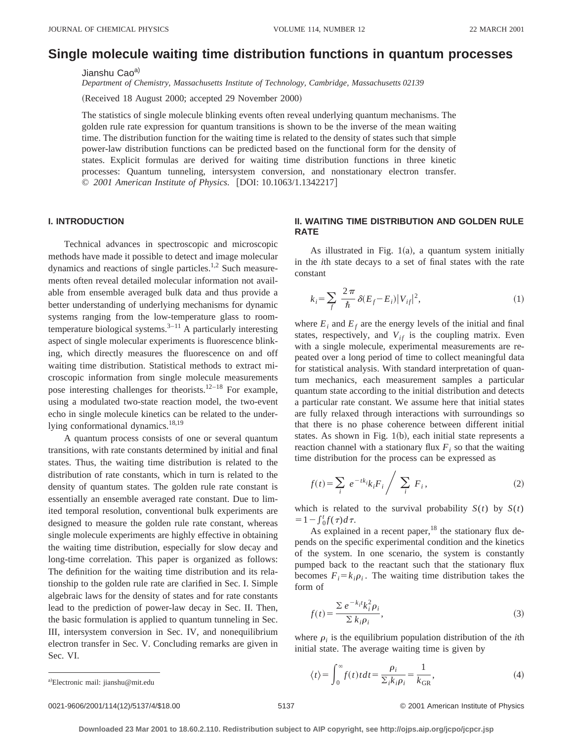# **Single molecule waiting time distribution functions in quantum processes**

Jianshu Cao<sup>a)</sup>

*Department of Chemistry, Massachusetts Institute of Technology, Cambridge, Massachusetts 02139*

(Received 18 August 2000; accepted 29 November 2000)

The statistics of single molecule blinking events often reveal underlying quantum mechanisms. The golden rule rate expression for quantum transitions is shown to be the inverse of the mean waiting time. The distribution function for the waiting time is related to the density of states such that simple power-law distribution functions can be predicted based on the functional form for the density of states. Explicit formulas are derived for waiting time distribution functions in three kinetic processes: Quantum tunneling, intersystem conversion, and nonstationary electron transfer. © 2001 American Institute of Physics. [DOI: 10.1063/1.1342217]

### **I. INTRODUCTION**

Technical advances in spectroscopic and microscopic methods have made it possible to detect and image molecular dynamics and reactions of single particles.<sup>1,2</sup> Such measurements often reveal detailed molecular information not available from ensemble averaged bulk data and thus provide a better understanding of underlying mechanisms for dynamic systems ranging from the low-temperature glass to roomtemperature biological systems. $3-11$  A particularly interesting aspect of single molecular experiments is fluorescence blinking, which directly measures the fluorescence on and off waiting time distribution. Statistical methods to extract microscopic information from single molecule measurements pose interesting challenges for theorists.<sup>12–18</sup> For example, using a modulated two-state reaction model, the two-event echo in single molecule kinetics can be related to the underlying conformational dynamics.<sup>18,19</sup>

A quantum process consists of one or several quantum transitions, with rate constants determined by initial and final states. Thus, the waiting time distribution is related to the distribution of rate constants, which in turn is related to the density of quantum states. The golden rule rate constant is essentially an ensemble averaged rate constant. Due to limited temporal resolution, conventional bulk experiments are designed to measure the golden rule rate constant, whereas single molecule experiments are highly effective in obtaining the waiting time distribution, especially for slow decay and long-time correlation. This paper is organized as follows: The definition for the waiting time distribution and its relationship to the golden rule rate are clarified in Sec. I. Simple algebraic laws for the density of states and for rate constants lead to the prediction of power-law decay in Sec. II. Then, the basic formulation is applied to quantum tunneling in Sec. III, intersystem conversion in Sec. IV, and nonequilibrium electron transfer in Sec. V. Concluding remarks are given in Sec. VI.

## **II. WAITING TIME DISTRIBUTION AND GOLDEN RULE RATE**

As illustrated in Fig.  $1(a)$ , a quantum system initially in the *i*th state decays to a set of final states with the rate constant

$$
k_i = \sum_f \frac{2\pi}{\hbar} \delta(E_f - E_i) |V_{if}|^2,
$$
\n(1)

where  $E_i$  and  $E_f$  are the energy levels of the initial and final states, respectively, and  $V_{if}$  is the coupling matrix. Even with a single molecule, experimental measurements are repeated over a long period of time to collect meaningful data for statistical analysis. With standard interpretation of quantum mechanics, each measurement samples a particular quantum state according to the initial distribution and detects a particular rate constant. We assume here that initial states are fully relaxed through interactions with surroundings so that there is no phase coherence between different initial states. As shown in Fig.  $1(b)$ , each initial state represents a reaction channel with a stationary flux  $F_i$  so that the waiting time distribution for the process can be expressed as

$$
f(t) = \sum_{i} e^{-tk_i} k_i F_i / \sum_{i} F_i,
$$
 (2)

which is related to the survival probability  $S(t)$  by  $S(t)$  $=1-\int_0^t f(\tau)d\tau.$ 

As explained in a recent paper,<sup>18</sup> the stationary flux depends on the specific experimental condition and the kinetics of the system. In one scenario, the system is constantly pumped back to the reactant such that the stationary flux becomes  $F_i = k_i \rho_i$ . The waiting time distribution takes the form of

$$
f(t) = \frac{\sum e^{-k_i t} k_i^2 \rho_i}{\sum k_i \rho_i},
$$
\n(3)

where  $\rho_i$  is the equilibrium population distribution of the *i*th initial state. The average waiting time is given by

$$
\langle t \rangle = \int_0^\infty f(t) \, t \, dt = \frac{\rho_i}{\sum_i k_i \rho_i} = \frac{1}{k_{\text{GR}}},\tag{4}
$$

0021-9606/2001/114(12)/5137/4/\$18.00 © 2001 American Institute of Physics 5137

Electronic mail: jianshu@mit.edu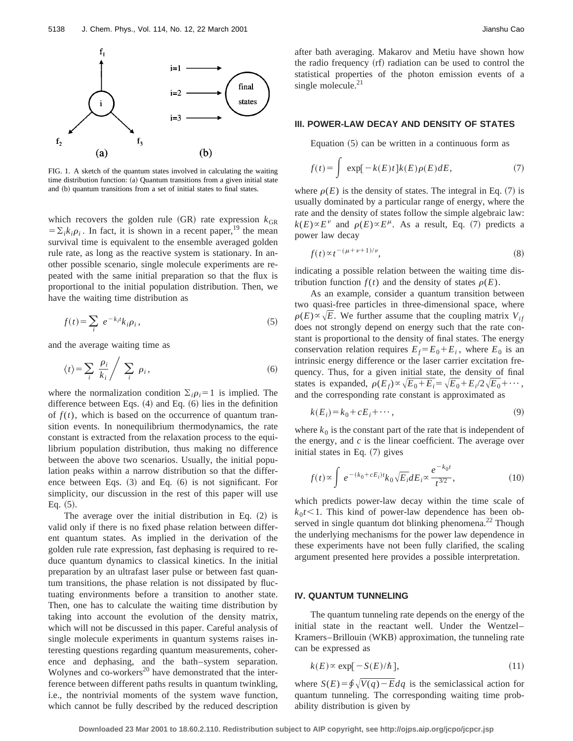

FIG. 1. A sketch of the quantum states involved in calculating the waiting time distribution function:  $(a)$  Quantum transitions from a given initial state and (b) quantum transitions from a set of initial states to final states.

which recovers the golden rule  $(GR)$  rate expression  $k_{GR}$  $=\sum_{i}k_{i}\rho_{i}$ . In fact, it is shown in a recent paper,<sup>19</sup> the mean survival time is equivalent to the ensemble averaged golden rule rate, as long as the reactive system is stationary. In another possible scenario, single molecule experiments are repeated with the same initial preparation so that the flux is proportional to the initial population distribution. Then, we have the waiting time distribution as

$$
f(t) = \sum_{i} e^{-k_i t} k_i \rho_i, \qquad (5)
$$

and the average waiting time as

$$
\langle t \rangle = \sum_{i} \frac{\rho_i}{k_i} / \sum_{i} \rho_i, \tag{6}
$$

where the normalization condition  $\Sigma_i \rho_i = 1$  is implied. The difference between Eqs.  $(4)$  and Eq.  $(6)$  lies in the definition of  $f(t)$ , which is based on the occurrence of quantum transition events. In nonequilibrium thermodynamics, the rate constant is extracted from the relaxation process to the equilibrium population distribution, thus making no difference between the above two scenarios. Usually, the initial population peaks within a narrow distribution so that the difference between Eqs.  $(3)$  and Eq.  $(6)$  is not significant. For simplicity, our discussion in the rest of this paper will use Eq.  $(5)$ .

The average over the initial distribution in Eq.  $(2)$  is valid only if there is no fixed phase relation between different quantum states. As implied in the derivation of the golden rule rate expression, fast dephasing is required to reduce quantum dynamics to classical kinetics. In the initial preparation by an ultrafast laser pulse or between fast quantum transitions, the phase relation is not dissipated by fluctuating environments before a transition to another state. Then, one has to calculate the waiting time distribution by taking into account the evolution of the density matrix, which will not be discussed in this paper. Careful analysis of single molecule experiments in quantum systems raises interesting questions regarding quantum measurements, coherence and dephasing, and the bath–system separation. Wolynes and co-workers $^{20}$  have demonstrated that the interference between different paths results in quantum twinkling, i.e., the nontrivial moments of the system wave function, which cannot be fully described by the reduced description after bath averaging. Makarov and Metiu have shown how the radio frequency  $(rf)$  radiation can be used to control the statistical properties of the photon emission events of a single molecule. $^{21}$ 

## **III. POWER-LAW DECAY AND DENSITY OF STATES**

Equation  $(5)$  can be written in a continuous form as

$$
f(t) = \int \exp[-k(E)t]k(E)\rho(E)dE,
$$
 (7)

where  $\rho(E)$  is the density of states. The integral in Eq. (7) is usually dominated by a particular range of energy, where the rate and the density of states follow the simple algebraic law:  $k(E) \propto E^{\nu}$  and  $\rho(E) \propto E^{\mu}$ . As a result, Eq. (7) predicts a power law decay

$$
f(t) \propto t^{-(\mu + \nu + 1)/\nu},\tag{8}
$$

indicating a possible relation between the waiting time distribution function  $f(t)$  and the density of states  $\rho(E)$ .

As an example, consider a quantum transition between two quasi-free particles in three-dimensional space, where  $\rho(E) \propto \sqrt{E}$ . We further assume that the coupling matrix  $V_{if}$ does not strongly depend on energy such that the rate constant is proportional to the density of final states. The energy conservation relation requires  $E_f = E_0 + E_i$ , where  $E_0$  is an intrinsic energy difference or the laser carrier excitation frequency. Thus, for a given initial state, the density of final states is expanded,  $\rho(E_f) \propto \sqrt{E_0 + E_i} = \sqrt{E_0 + E_i/2} \sqrt{E_0} + \cdots$ , and the corresponding rate constant is approximated as

$$
k(E_i) = k_0 + cE_i + \cdots,\tag{9}
$$

where  $k_0$  is the constant part of the rate that is independent of the energy, and *c* is the linear coefficient. The average over initial states in Eq.  $(7)$  gives

$$
f(t) \propto \int e^{-(k_0 + cE_i)t} k_0 \sqrt{E_i} dE_i \propto \frac{e^{-k_0 t}}{t^{3/2}},
$$
\n(10)

which predicts power-law decay within the time scale of  $k_0 t$ <sup><</sup>1. This kind of power-law dependence has been observed in single quantum dot blinking phenomena.<sup>22</sup> Though the underlying mechanisms for the power law dependence in these experiments have not been fully clarified, the scaling argument presented here provides a possible interpretation.

#### **IV. QUANTUM TUNNELING**

The quantum tunneling rate depends on the energy of the initial state in the reactant well. Under the Wentzel– Kramers–Brillouin (WKB) approximation, the tunneling rate can be expressed as

$$
k(E) \propto \exp[-S(E)/\hbar],\tag{11}
$$

where  $S(E) = \oint \sqrt{V(q)} - E dq$  is the semiclassical action for quantum tunneling. The corresponding waiting time probability distribution is given by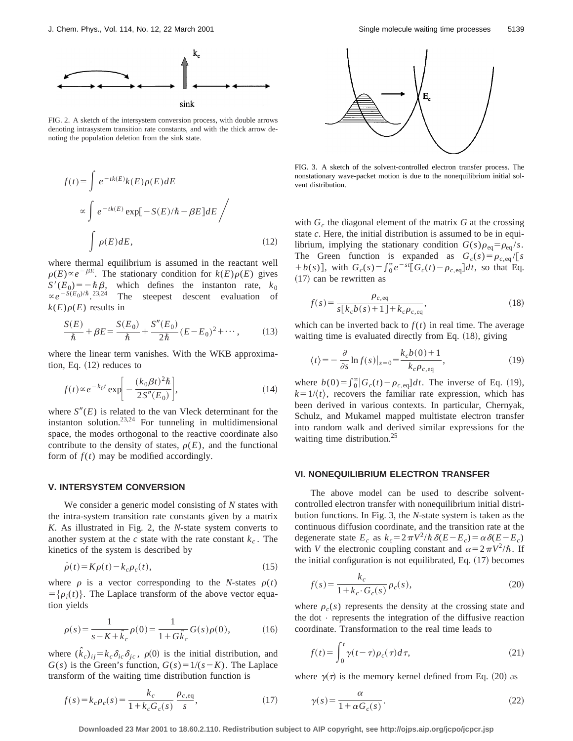

FIG. 2. A sketch of the intersystem conversion process, with double arrows denoting intrasystem transition rate constants, and with the thick arrow denoting the population deletion from the sink state.

$$
f(t) = \int e^{-tk(E)}k(E)\rho(E)dE
$$
  

$$
\propto \int e^{-tk(E)} \exp[-S(E)/\hbar - \beta E]dE
$$
  

$$
\int \rho(E)dE,
$$
 (12)

where thermal equilibrium is assumed in the reactant well  $\rho(E) \propto e^{-\beta E}$ . The stationary condition for  $k(E)\rho(E)$  gives  $S'(E_0) = -\hbar \beta$ , which defines the instanton rate,  $k_0$  $\propto e^{-S(E_0)/\hbar}$  23,24 The steepest descent evaluation of  $k(E)\rho(E)$  results in

$$
\frac{S(E)}{\hbar} + \beta E = \frac{S(E_0)}{\hbar} + \frac{S''(E_0)}{2\hbar} (E - E_0)^2 + \cdots, \tag{13}
$$

where the linear term vanishes. With the WKB approximation, Eq.  $(12)$  reduces to

$$
f(t) \propto e^{-k_0 t} \exp\biggl[-\frac{(k_0 \beta t)^2 \hbar}{2S''(E_0)}\biggr],\tag{14}
$$

where  $S''(E)$  is related to the van Vleck determinant for the instanton solution. $23,24$  For tunneling in multidimensional space, the modes orthogonal to the reactive coordinate also contribute to the density of states,  $\rho(E)$ , and the functional form of  $f(t)$  may be modified accordingly.

#### **V. INTERSYSTEM CONVERSION**

We consider a generic model consisting of *N* states with the intra-system transition rate constants given by a matrix *K*. As illustrated in Fig. 2, the *N*-state system converts to another system at the *c* state with the rate constant  $k_c$ . The kinetics of the system is described by

$$
\dot{\rho}(t) = K\rho(t) - k_c \rho_c(t),\tag{15}
$$

where  $\rho$  is a vector corresponding to the *N*-states  $\rho(t)$  $=\{\rho_i(t)\}\.$  The Laplace transform of the above vector equation yields

$$
\rho(s) = \frac{1}{s - K + \hat{k}_c} \rho(0) = \frac{1}{1 + G\hat{k}_c} G(s)\rho(0),
$$
\n(16)

where  $(\hat{k}_c)_{ij} = k_c \delta_{ic} \delta_{jc}$ ,  $\rho(0)$  is the initial distribution, and  $G(s)$  is the Green's function,  $G(s) = 1/(s - K)$ . The Laplace transform of the waiting time distribution function is



FIG. 3. A sketch of the solvent-controlled electron transfer process. The nonstationary wave-packet motion is due to the nonequilibrium initial solvent distribution.

with  $G_c$  the diagonal element of the matrix  $G$  at the crossing state *c*. Here, the initial distribution is assumed to be in equilibrium, implying the stationary condition  $G(s)\rho_{eq} = \rho_{eq}/s$ . The Green function is expanded as  $G_c(s) = \rho_{c,eq}/[s]$  $+ b(s)$ , with  $G_c(s) = \int_0^\infty e^{-st} [G_c(t) - \rho_{c,eq}] dt$ , so that Eq.  $(17)$  can be rewritten as

$$
f(s) = \frac{\rho_{c,eq}}{s[k_c b(s) + 1] + k_c \rho_{c,eq}},
$$
\n(18)

which can be inverted back to  $f(t)$  in real time. The average waiting time is evaluated directly from Eq.  $(18)$ , giving

$$
\langle t \rangle = -\frac{\partial}{\partial s} \ln f(s) \vert_{s=0} = \frac{k_c b(0) + 1}{k_c \rho_{c, \text{eq}}},\tag{19}
$$

where  $b(0) = \int_0^\infty |G_c(t) - \rho_{c,eq}| dt$ . The inverse of Eq. (19),  $k=1/\langle t \rangle$ , recovers the familiar rate expression, which has been derived in various contexts. In particular, Chernyak, Schulz, and Mukamel mapped multistate electron transfer into random walk and derived similar expressions for the waiting time distribution.<sup>25</sup>

## **VI. NONEQUILIBRIUM ELECTRON TRANSFER**

The above model can be used to describe solventcontrolled electron transfer with nonequilibrium initial distribution functions. In Fig. 3, the *N*-state system is taken as the continuous diffusion coordinate, and the transition rate at the degenerate state  $E_c$  as  $k_c = 2\pi V^2/\hbar \delta(E-E_c) = \alpha \delta(E-E_c)$ with *V* the electronic coupling constant and  $\alpha = 2\pi V^2/\hbar$ . If the initial configuration is not equilibrated, Eq.  $(17)$  becomes

$$
f(s) = \frac{k_c}{1 + k_c \cdot G_c(s)} \rho_c(s),\tag{20}
$$

where  $\rho_c(s)$  represents the density at the crossing state and the dot  $\cdot$  represents the integration of the diffusive reaction coordinate. Transformation to the real time leads to

$$
f(t) = \int_0^t \gamma(t - \tau) \rho_c(\tau) d\tau,
$$
\n(21)

where  $\gamma(\tau)$  is the memory kernel defined from Eq. (20) as

$$
f(s) = k_c \rho_c(s) = \frac{k_c}{1 + k_c G_c(s)} \frac{\rho_{c,eq}}{s},
$$
\n(17)

$$
\gamma(s) = \frac{\alpha}{1 + \alpha G_c(s)}.\tag{22}
$$

**Downloaded 23 Mar 2001 to 18.60.2.110. Redistribution subject to AIP copyright, see http://ojps.aip.org/jcpo/jcpcr.jsp**